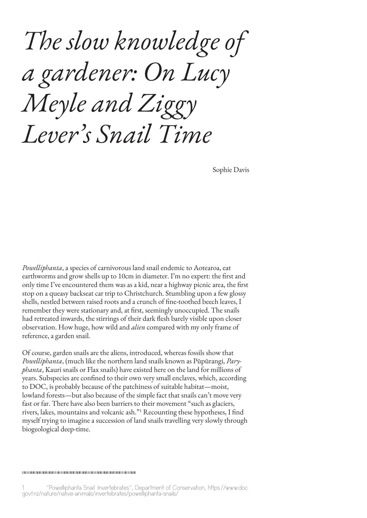*The slow knowledge of a gardener: On Lucy Meyle and Ziggy Lever's Snail Time*

Sophie Davis

*Powelliphanta*, a species of carnivorous land snail endemic to Aotearoa, eat earthworms and grow shells up to 10cm in diameter. I'm no expert: the first and only time I've encountered them was as a kid, near a highway picnic area, the first stop on a queasy backseat car trip to Christchurch. Stumbling upon a few glossy shells, nestled between raised roots and a crunch of fine-toothed beech leaves, I remember they were stationary and, at first, seemingly unoccupied. The snails had retreated inwards, the stirrings of their dark flesh barely visible upon closer observation. How huge, how wild and *alien* compared with my only frame of reference, a garden snail.

Of course, garden snails are the aliens, introduced, whereas fossils show that *Powelliphanta*, (much like the northern land snails known as Pūpūrangi, *Paryphanta*, Kauri snails or Flax snails) have existed here on the land for millions of years. Subspecies are confined to their own very small enclaves, which, according to DOC, is probably because of the patchiness of suitable habitat—moist, lowland forests—but also because of the simple fact that snails can't move very fast or far. There have also been barriers to their movement "such as glaciers, rivers, lakes, mountains and volcanic ash."1 Recounting these hypotheses, I find myself trying to imagine a succession of land snails travelling very slowly through biogeological deep-time.

##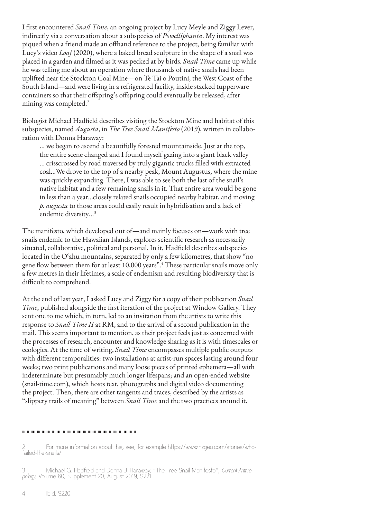I first encountered *Snail Time*, an ongoing project by Lucy Meyle and Ziggy Lever, indirectly via a conversation about a subspecies of *Powelliphanta*. My interest was piqued when a friend made an offhand reference to the project, being familiar with Lucy's video *Loaf* (2020), where a baked bread sculpture in the shape of a snail was placed in a garden and filmed as it was pecked at by birds. *Snail Time* came up while he was telling me about an operation where thousands of native snails had been uplifted near the Stockton Coal Mine—on Te Tai o Poutini, the West Coast of the South Island—and were living in a refrigerated facility, inside stacked tupperware containers so that their offspring's offspring could eventually be released, after mining was completed.<sup>2</sup>

Biologist Michael Hadfield describes visiting the Stockton Mine and habitat of this subspecies, named *Augusta*, in *The Tree Snail Manifesto* (2019), written in collaboration with Donna Haraway:

… we began to ascend a beautifully forested mountainside. Just at the top, the entire scene changed and I found myself gazing into a giant black valley … crisscrossed by road traversed by truly gigantic trucks filled with extracted coal…We drove to the top of a nearby peak, Mount Augustus, where the mine was quickly expanding. There, I was able to see both the last of the snail's native habitat and a few remaining snails in it. That entire area would be gone in less than a year...closely related snails occupied nearby habitat, and moving *p. augusta* to those areas could easily result in hybridisation and a lack of endemic diversity…3

The manifesto, which developed out of—and mainly focuses on—work with tree snails endemic to the Hawaiian Islands, explores scientific research as necessarily situated, collaborative, political and personal. In it, Hadfield describes subspecies located in the O'ahu mountains, separated by only a few kilometres, that show "no gene flow between them for at least 10,000 years".<sup>4</sup> These particular snails move only a few metres in their lifetimes, a scale of endemism and resulting biodiversity that is difficult to comprehend.

At the end of last year, I asked Lucy and Ziggy for a copy of their publication *Snail Time*, published alongside the first iteration of the project at Window Gallery. They sent one to me which, in turn, led to an invitation from the artists to write this response to *Snail Time II* at RM, and to the arrival of a second publication in the mail. This seems important to mention, as their project feels just as concerned with the processes of research, encounter and knowledge sharing as it is with timescales or ecologies. At the time of writing, *Snail Time* encompasses multiple public outputs with different temporalities: two installations at artist-run spaces lasting around four weeks; two print publications and many loose pieces of printed ephemera—all with indeterminate but presumably much longer lifespans; and an open-ended website (snail-time.com), which hosts text, photographs and digital video documenting the project. Then, there are other tangents and traces, described by the artists as "slippery trails of meaning" between *Snail Time* and the two practices around it.

4 Ibid, S220.

For more information about this, see, for example https://www.nzgeo.com/stories/whofailed-the-snails/

Michael G. Hadfield and Donna J. Haraway, "The Tree Snail Manifesto", Current Anthropology, Volume 60, Supplement 20, August 2019, S221.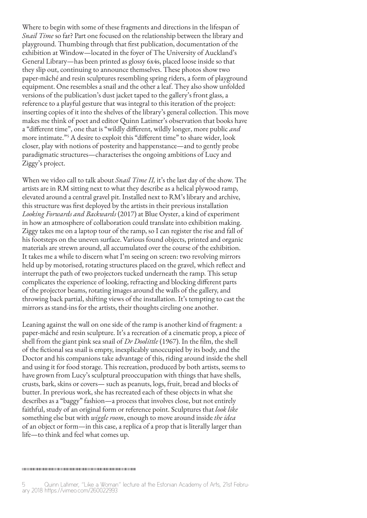Where to begin with some of these fragments and directions in the lifespan of *Snail Time* so far? Part one focused on the relationship between the library and playground. Thumbing through that first publication, documentation of the exhibition at Window—located in the foyer of The University of Auckland's General Library—has been printed as glossy 6x4s, placed loose inside so that they slip out, continuing to announce themselves. These photos show two paper-mâché and resin sculptures resembling spring riders, a form of playground equipment. One resembles a snail and the other a leaf. They also show unfolded versions of the publication's dust jacket taped to the gallery's front glass, a reference to a playful gesture that was integral to this iteration of the project: inserting copies of it into the shelves of the library's general collection. This move makes me think of poet and editor Quinn Latimer's observation that books have a "different time", one that is "wildly different, wildly longer, more public *and* more intimate."5 A desire to exploit this "different time" to share wider, look closer, play with notions of posterity and happenstance—and to gently probe paradigmatic structures—characterises the ongoing ambitions of Lucy and Ziggy's project.

When we video call to talk about *Snail Time II,* it's the last day of the show. The artists are in RM sitting next to what they describe as a helical plywood ramp, elevated around a central gravel pit. Installed next to RM's library and archive, this structure was first deployed by the artists in their previous installation *Looking Forwards and Backwards* (2017) at Blue Oyster, a kind of experiment in how an atmosphere of collaboration could translate into exhibition making. Ziggy takes me on a laptop tour of the ramp, so I can register the rise and fall of his footsteps on the uneven surface. Various found objects, printed and organic materials are strewn around, all accumulated over the course of the exhibition. It takes me a while to discern what I'm seeing on screen: two revolving mirrors held up by motorised, rotating structures placed on the gravel, which reflect and interrupt the path of two projectors tucked underneath the ramp. This setup complicates the experience of looking, refracting and blocking different parts of the projector beams, rotating images around the walls of the gallery, and throwing back partial, shifting views of the installation. It's tempting to cast the mirrors as stand-ins for the artists, their thoughts circling one another.

Leaning against the wall on one side of the ramp is another kind of fragment: a paper-mâché and resin sculpture. It's a recreation of a cinematic prop, a piece of shell from the giant pink sea snail of *Dr Doolittle* (1967). In the film, the shell of the fictional sea snail is empty, inexplicably unoccupied by its body, and the Doctor and his companions take advantage of this, riding around inside the shell and using it for food storage. This recreation, produced by both artists, seems to have grown from Lucy's sculptural preoccupation with things that have shells, crusts, bark, skins or covers— such as peanuts, logs, fruit, bread and blocks of butter. In previous work, she has recreated each of these objects in what she describes as a "baggy" fashion—a process that involves close, but not entirely faithful, study of an original form or reference point. Sculptures that *look like*  something else but with *wiggle room*, enough to move around inside *the idea* of an object or form—in this case, a replica of a prop that is literally larger than life—to think and feel what comes up.